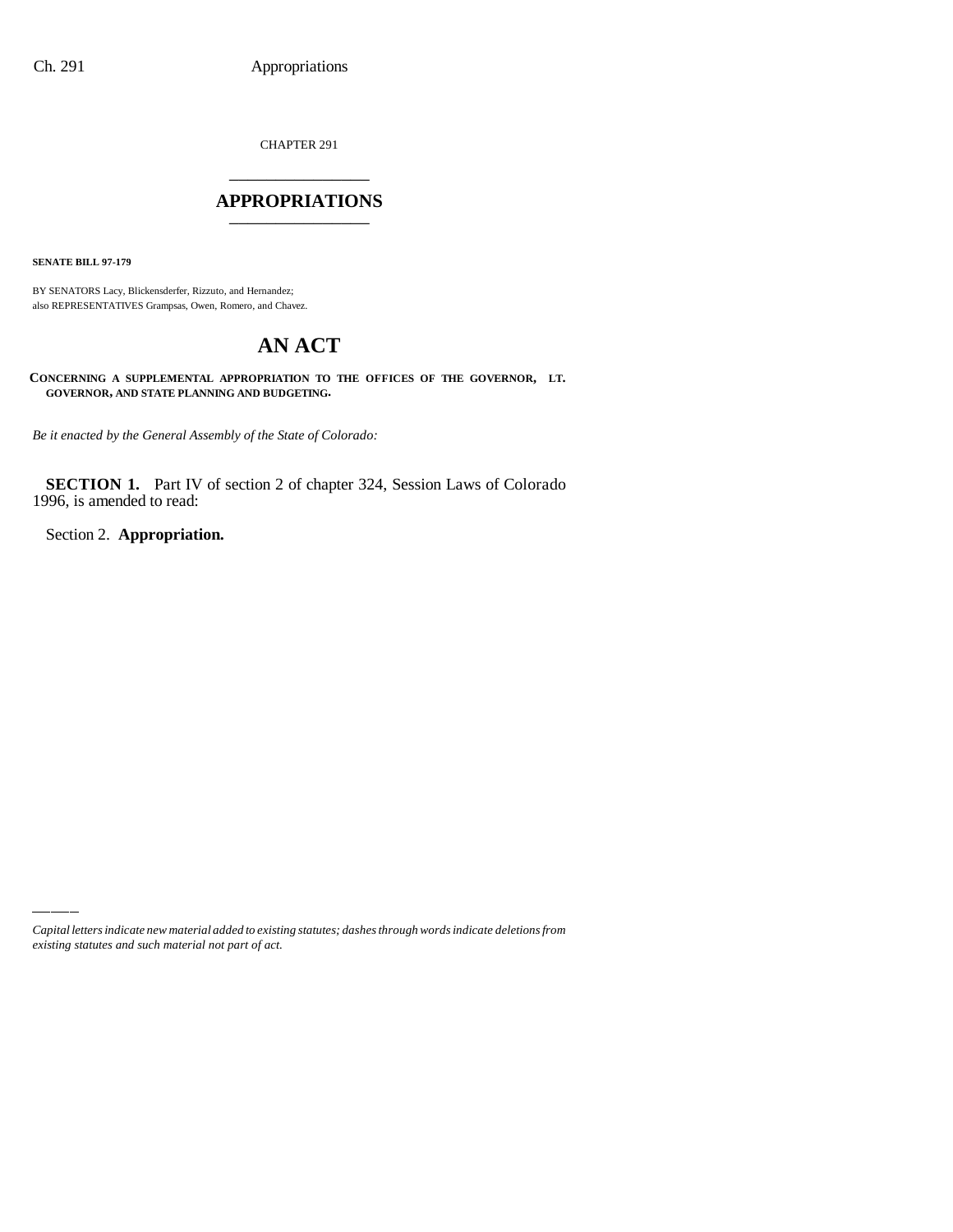CHAPTER 291 \_\_\_\_\_\_\_\_\_\_\_\_\_\_\_

## **APPROPRIATIONS** \_\_\_\_\_\_\_\_\_\_\_\_\_\_\_

**SENATE BILL 97-179**

BY SENATORS Lacy, Blickensderfer, Rizzuto, and Hernandez; also REPRESENTATIVES Grampsas, Owen, Romero, and Chavez.

# **AN ACT**

**CONCERNING A SUPPLEMENTAL APPROPRIATION TO THE OFFICES OF THE GOVERNOR, LT. GOVERNOR, AND STATE PLANNING AND BUDGETING.**

*Be it enacted by the General Assembly of the State of Colorado:*

**SECTION 1.** Part IV of section 2 of chapter 324, Session Laws of Colorado 1996, is amended to read:

Section 2. **Appropriation.**

*Capital letters indicate new material added to existing statutes; dashes through words indicate deletions from existing statutes and such material not part of act.*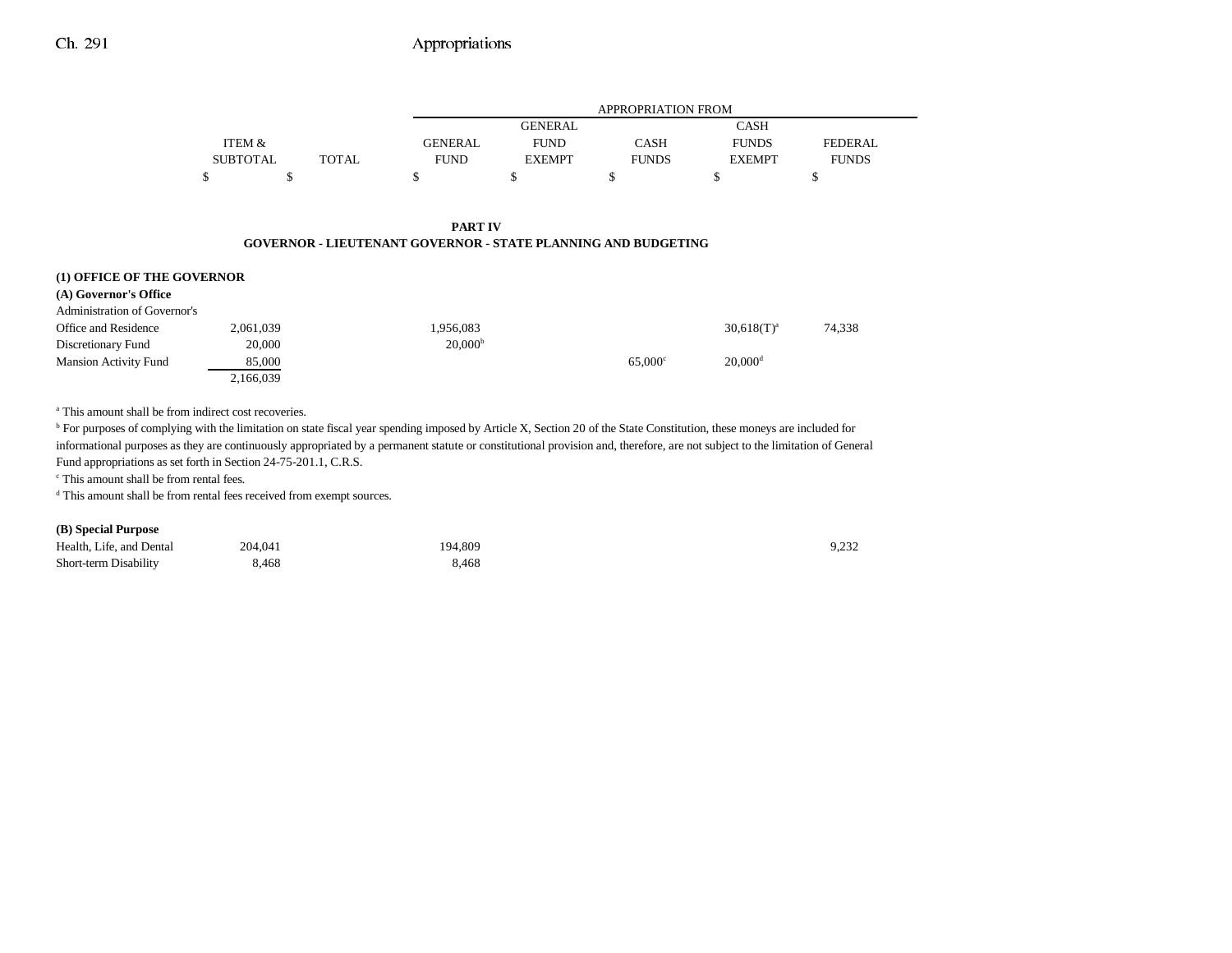# Ch. 291 Appropriations

|                 |       |                | APPROPRIATION FROM |              |               |                |  |  |
|-----------------|-------|----------------|--------------------|--------------|---------------|----------------|--|--|
|                 |       |                | <b>GENERAL</b>     |              | <b>CASH</b>   |                |  |  |
| ITEM &          |       | <b>GENERAL</b> | <b>FUND</b>        | <b>CASH</b>  | <b>FUNDS</b>  | <b>FEDERAL</b> |  |  |
| <b>SUBTOTAL</b> | TOTAL | <b>FUND</b>    | <b>EXEMPT</b>      | <b>FUNDS</b> | <b>EXEMPT</b> | <b>FUNDS</b>   |  |  |
|                 |       |                |                    |              |               |                |  |  |

#### **PART IVGOVERNOR - LIEUTENANT GOVERNOR - STATE PLANNING AND BUDGETING**

| (1) OFFICE OF THE GOVERNOR   |           |                     |                  |                       |        |
|------------------------------|-----------|---------------------|------------------|-----------------------|--------|
| (A) Governor's Office        |           |                     |                  |                       |        |
| Administration of Governor's |           |                     |                  |                       |        |
| Office and Residence         | 2,061,039 | 1,956,083           |                  | $30,618(T)^{a}$       | 74,338 |
| Discretionary Fund           | 20,000    | 20,000 <sup>b</sup> |                  |                       |        |
| <b>Mansion Activity Fund</b> | 85,000    |                     | $65.000^{\circ}$ | $20,000$ <sup>d</sup> |        |
|                              | 2,166,039 |                     |                  |                       |        |

<sup>a</sup> This amount shall be from indirect cost recoveries.

<sup>b</sup> For purposes of complying with the limitation on state fiscal year spending imposed by Article X, Section 20 of the State Constitution, these moneys are included for informational purposes as they are continuously appropriated by a permanent statute or constitutional provision and, therefore, are not subject to the limitation of General Fund appropriations as set forth in Section 24-75-201.1, C.R.S.

c This amount shall be from rental fees.

 $^{\rm d}$  This amount shall be from rental fees received from exempt sources.

#### **(B) Special Purpose**

| Health, Life, and Dental | 204.041 | 194.809 | 9,232 |
|--------------------------|---------|---------|-------|
| Short-term Disability    | 8,468   | 8,468   |       |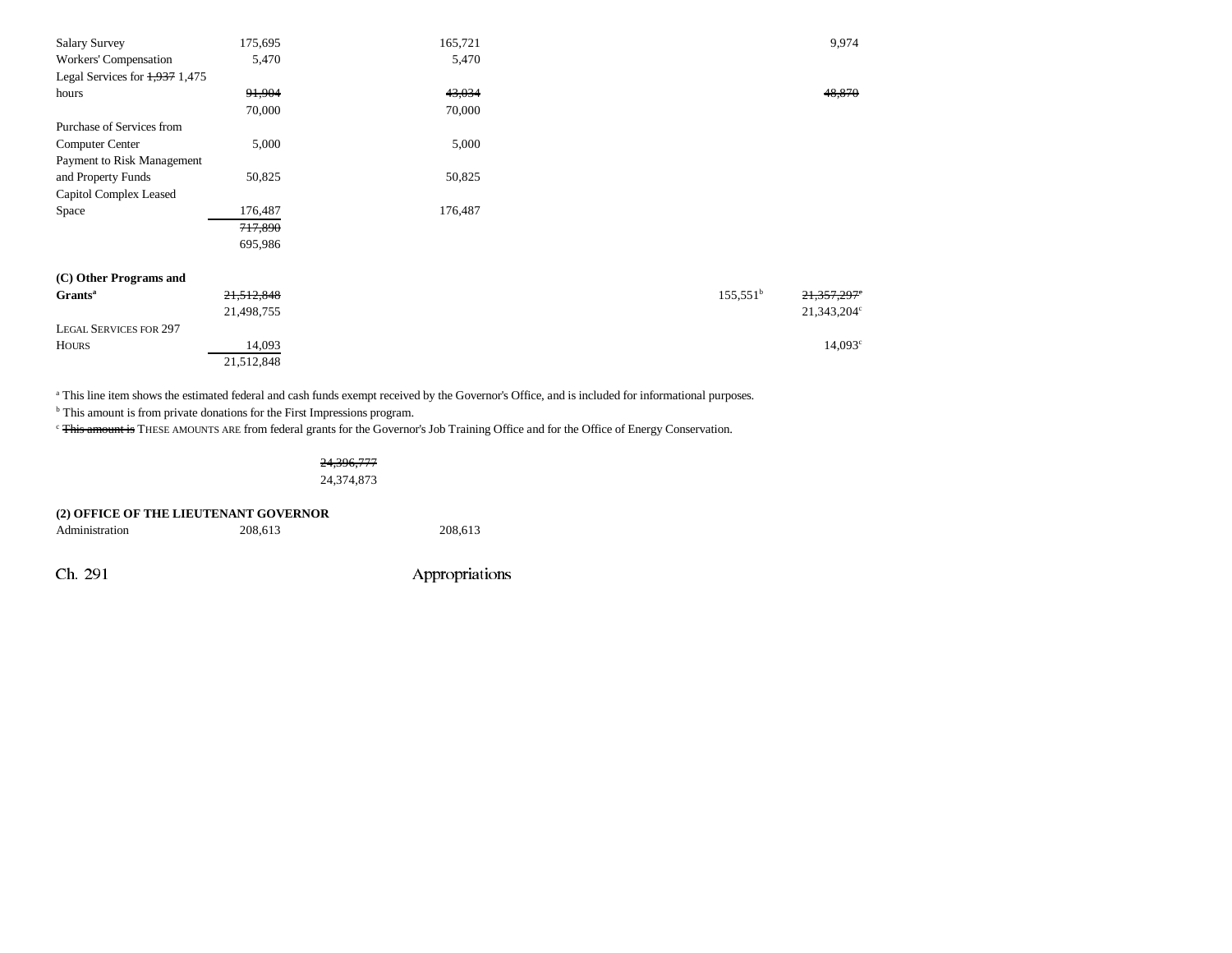| <b>Salary Survey</b>             | 175,695    | 165,721 | 9,974                            |
|----------------------------------|------------|---------|----------------------------------|
| Workers' Compensation            | 5,470      | 5,470   |                                  |
| Legal Services for $1,937$ 1,475 |            |         |                                  |
| hours                            | 91,904     | 43,034  | 48,870                           |
|                                  | 70,000     | 70,000  |                                  |
| Purchase of Services from        |            |         |                                  |
| Computer Center                  | 5,000      | 5,000   |                                  |
| Payment to Risk Management       |            |         |                                  |
| and Property Funds               | 50,825     | 50,825  |                                  |
| Capitol Complex Leased           |            |         |                                  |
| Space                            | 176,487    | 176,487 |                                  |
|                                  | 717,890    |         |                                  |
|                                  | 695,986    |         |                                  |
|                                  |            |         |                                  |
| (C) Other Programs and           |            |         |                                  |
| Grants <sup>a</sup>              | 21,512,848 |         | $155,551^{\circ}$<br>21,357,297° |
|                                  | 21,498,755 |         | 21,343,204 <sup>c</sup>          |
| <b>LEGAL SERVICES FOR 297</b>    |            |         |                                  |
| <b>HOURS</b>                     | 14,093     |         | $14,093^{\circ}$                 |
|                                  | 21,512,848 |         |                                  |

<sup>a</sup> This line item shows the estimated federal and cash funds exempt received by the Governor's Office, and is included for informational purposes.

<sup>b</sup> This amount is from private donations for the First Impressions program.

<sup>c</sup> This amount is THESE AMOUNTS ARE from federal grants for the Governor's Job Training Office and for the Office of Energy Conservation.

## 24,396,777 24,374,873

| (2) OFFICE OF THE LIEUTENANT GOVERNOR |         |         |  |  |  |  |
|---------------------------------------|---------|---------|--|--|--|--|
| Administration                        | 208.613 | 208,613 |  |  |  |  |

Ch. 291 Appropriations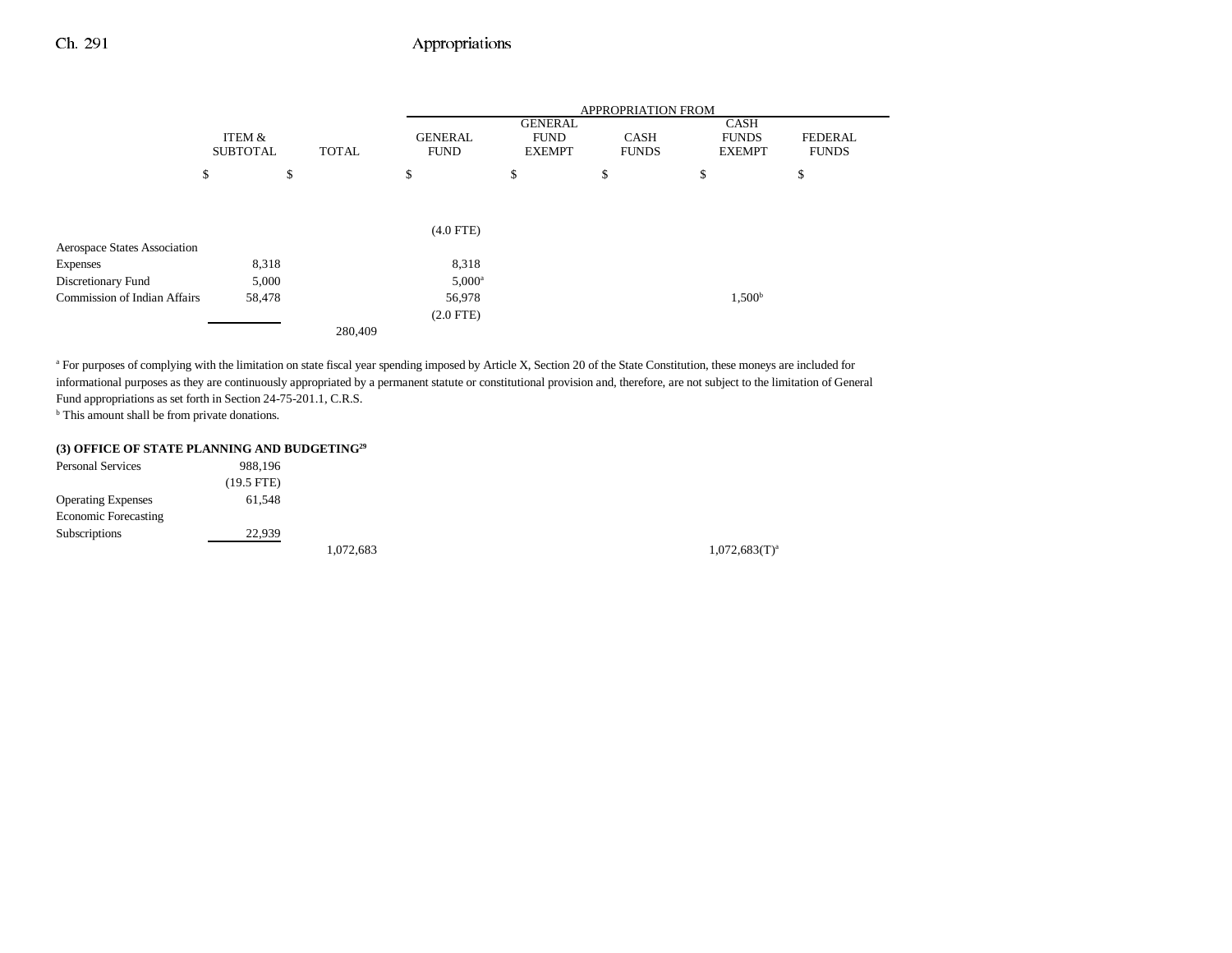## Ch. 291 Appropriations

|                                     |                           |        |              | <b>APPROPRIATION FROM</b>     |                                                |                             |                                       |                         |  |
|-------------------------------------|---------------------------|--------|--------------|-------------------------------|------------------------------------------------|-----------------------------|---------------------------------------|-------------------------|--|
|                                     | ITEM &<br><b>SUBTOTAL</b> |        | <b>TOTAL</b> | <b>GENERAL</b><br><b>FUND</b> | <b>GENERAL</b><br><b>FUND</b><br><b>EXEMPT</b> | <b>CASH</b><br><b>FUNDS</b> | CASH<br><b>FUNDS</b><br><b>EXEMPT</b> | FEDERAL<br><b>FUNDS</b> |  |
|                                     | \$                        | \$     |              | \$                            | \$                                             | \$                          | \$                                    | \$                      |  |
|                                     |                           |        |              |                               |                                                |                             |                                       |                         |  |
|                                     |                           |        |              | $(4.0$ FTE)                   |                                                |                             |                                       |                         |  |
| <b>Aerospace States Association</b> |                           |        |              |                               |                                                |                             |                                       |                         |  |
| <b>Expenses</b>                     |                           | 8,318  |              | 8,318                         |                                                |                             |                                       |                         |  |
| Discretionary Fund                  |                           | 5,000  |              | $5,000^{\rm a}$               |                                                |                             |                                       |                         |  |
| <b>Commission of Indian Affairs</b> |                           | 58,478 |              | 56,978                        |                                                |                             | 1,500 <sup>b</sup>                    |                         |  |
|                                     |                           |        |              | $(2.0$ FTE)                   |                                                |                             |                                       |                         |  |
|                                     |                           |        | 280,409      |                               |                                                |                             |                                       |                         |  |

<sup>a</sup> For purposes of complying with the limitation on state fiscal year spending imposed by Article X, Section 20 of the State Constitution, these moneys are included for informational purposes as they are continuously appropriated by a permanent statute or constitutional provision and, therefore, are not subject to the limitation of General Fund appropriations as set forth in Section 24-75-201.1, C.R.S.

b This amount shall be from private donations.

#### **(3) OFFICE OF STATE PLANNING AND BUDGETING29**

| <b>Personal Services</b>    | 988,196      |           |
|-----------------------------|--------------|-----------|
|                             | $(19.5$ FTE) |           |
| <b>Operating Expenses</b>   | 61.548       |           |
| <b>Economic Forecasting</b> |              |           |
| <b>Subscriptions</b>        | 22,939       |           |
|                             |              | 1,072,683 |

 $1,072,683(T)^{a}$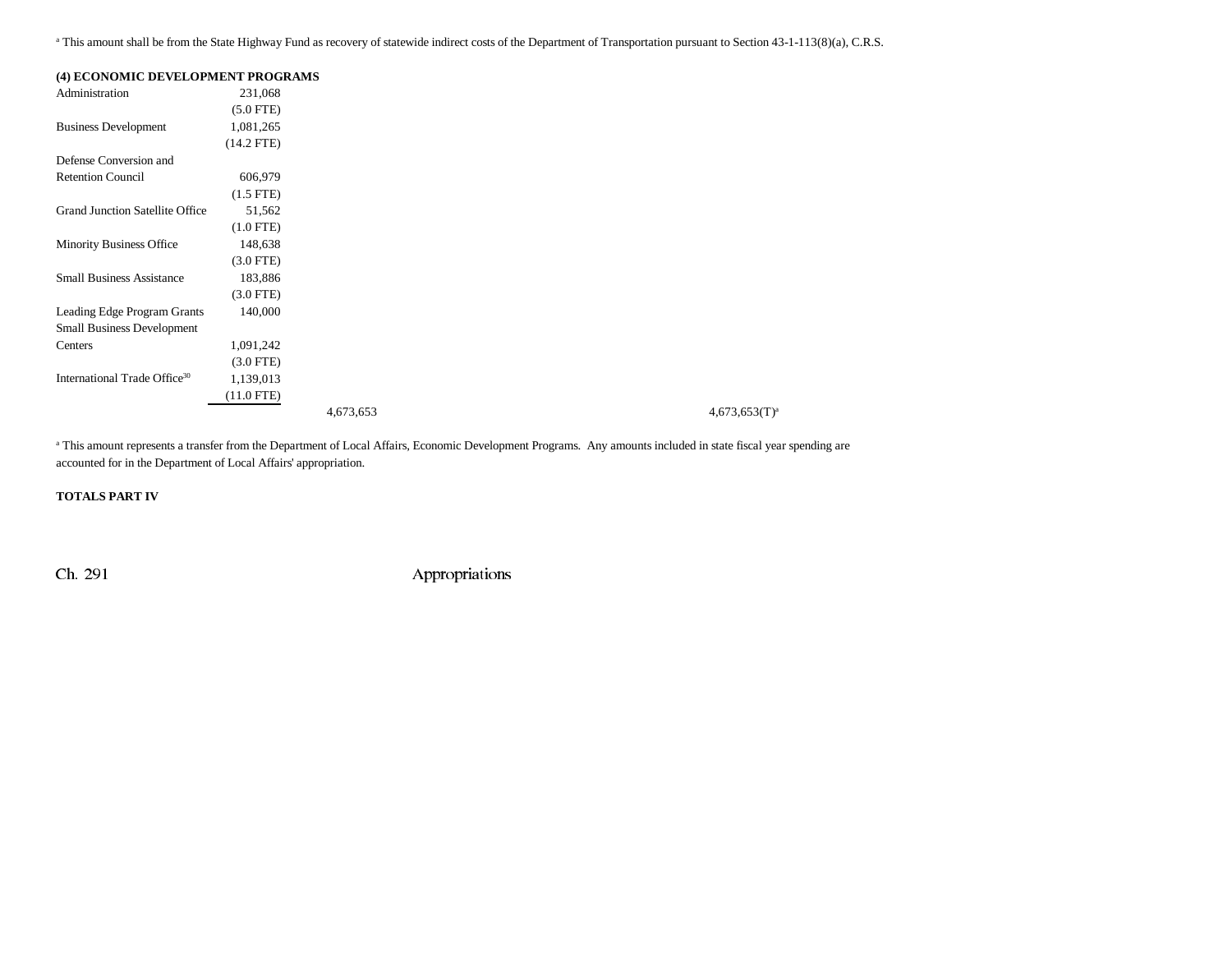<sup>a</sup> This amount shall be from the State Highway Fund as recovery of statewide indirect costs of the Department of Transportation pursuant to Section 43-1-113(8)(a), C.R.S.

| (4) ECONOMIC DEVELOPMENT PROGRAMS        |                |           |  |
|------------------------------------------|----------------|-----------|--|
| Administration                           | 231,068        |           |  |
|                                          | $(5.0$ FTE)    |           |  |
| <b>Business Development</b>              | 1,081,265      |           |  |
|                                          | $(14.2$ FTE)   |           |  |
| Defense Conversion and                   |                |           |  |
| <b>Retention Council</b>                 | 606,979        |           |  |
|                                          | $(1.5$ FTE $)$ |           |  |
| <b>Grand Junction Satellite Office</b>   | 51,562         |           |  |
|                                          | $(1.0$ FTE)    |           |  |
| <b>Minority Business Office</b>          | 148,638        |           |  |
|                                          | $(3.0$ FTE)    |           |  |
| <b>Small Business Assistance</b>         | 183,886        |           |  |
|                                          | $(3.0$ FTE)    |           |  |
| Leading Edge Program Grants              | 140,000        |           |  |
| <b>Small Business Development</b>        |                |           |  |
| Centers                                  | 1,091,242      |           |  |
|                                          | $(3.0$ FTE)    |           |  |
| International Trade Office <sup>30</sup> | 1,139,013      |           |  |
|                                          | (11.0 FTE)     |           |  |
|                                          |                | 4,673,653 |  |

 $4,673,653$  $(T)^a$ 

<sup>a</sup> This amount represents a transfer from the Department of Local Affairs, Economic Development Programs. Any amounts included in state fiscal year spending are accounted for in the Department of Local Affairs' appropriation.

**TOTALS PART IV** 

Ch. 291 Appropriations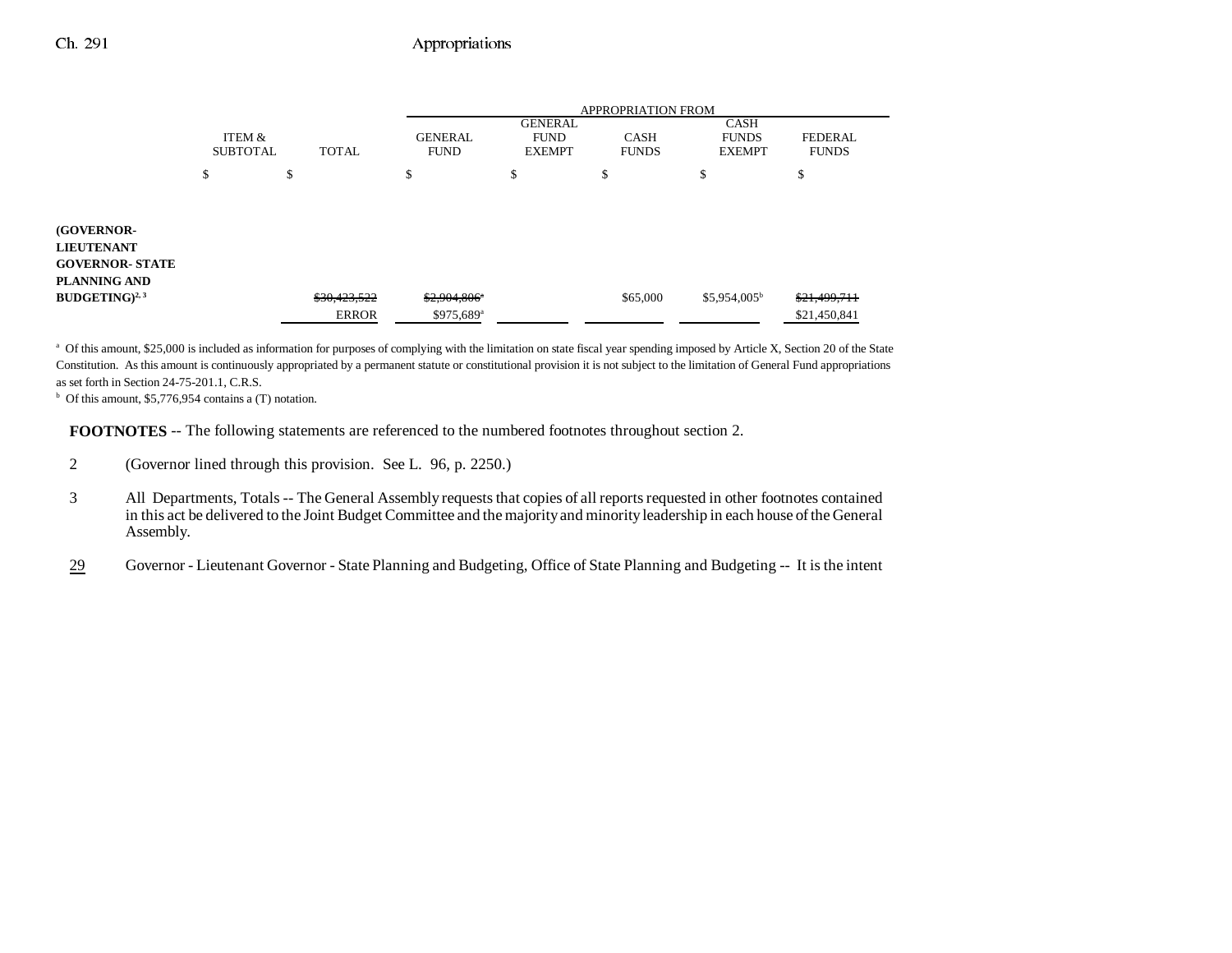# Ch. 291 Appropriations

|                           |              | <b>APPROPRIATION FROM</b>     |                                                |          |                                              |                                |  |
|---------------------------|--------------|-------------------------------|------------------------------------------------|----------|----------------------------------------------|--------------------------------|--|
| ITEM &<br><b>SUBTOTAL</b> | <b>TOTAL</b> | <b>GENERAL</b><br><b>FUND</b> | <b>GENERAL</b><br><b>FUND</b><br><b>EXEMPT</b> |          | <b>CASH</b><br><b>FUNDS</b><br><b>EXEMPT</b> | <b>FEDERAL</b><br><b>FUNDS</b> |  |
| \$                        | \$           | \$                            | \$                                             | \$       | \$                                           | \$                             |  |
|                           |              |                               |                                                |          |                                              |                                |  |
|                           |              |                               |                                                |          |                                              |                                |  |
|                           | \$30,423,522 | \$2,904,806"                  |                                                | \$65,000 | $$5,954,005^b$                               | \$21,499,711<br>\$21,450,841   |  |
|                           |              | <b>ERROR</b>                  | \$975,689 <sup>a</sup>                         |          | <b>CASH</b><br><b>FUNDS</b>                  |                                |  |

a Of this amount, \$25,000 is included as information for purposes of complying with the limitation on state fiscal year spending imposed by Article X, Section 20 of the State Constitution. As this amount is continuously appropriated by a permanent statute or constitutional provision it is not subject to the limitation of General Fund appropriations as set forth in Section 24-75-201.1, C.R.S.

 $b$  Of this amount, \$5,776,954 contains a (T) notation.

**FOOTNOTES** -- The following statements are referenced to the numbered footnotes throughout section 2.

- 2 (Governor lined through this provision. See L. 96, p. 2250.)
- 3 All Departments, Totals -- The General Assembly requests that copies of all reports requested in other footnotes contained in this act be delivered to the Joint Budget Committee and the majority and minority leadership in each house of the General Assembly.
- 29Governor - Lieutenant Governor - State Planning and Budgeting, Office of State Planning and Budgeting -- It is the intent